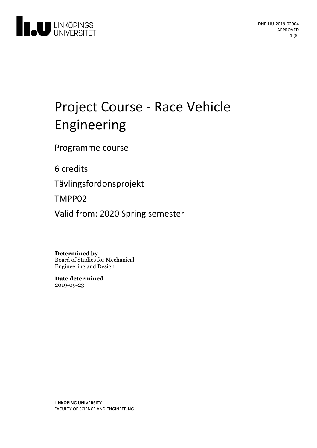

# Project Course - Race Vehicle Engineering

Programme course

6 credits

Tävlingsfordonsprojekt

TMPP02

Valid from: 2020 Spring semester

**Determined by**

Board of Studies for Mechanical Engineering and Design

**Date determined** 2019-09-23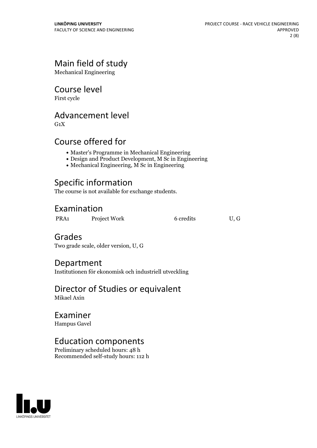# Main field of study

Mechanical Engineering

# Course level

First cycle

# Advancement level

 $G_1X$ 

# Course offered for

- Master's Programme in Mechanical Engineering
- Design and Product Development, M Sc in Engineering
- Mechanical Engineering, M Sc in Engineering

# Specific information

The course is not available for exchange students.

# Examination

PRA1 Project Work 6 credits U, G

# Grades

Two grade scale, older version, U, G

### Department

Institutionen för ekonomisk och industriell utveckling

### Director of Studies or equivalent Mikael Axin

# Examiner

Hampus Gavel

# Education components

Preliminary scheduled hours: 48 h Recommended self-study hours: 112 h

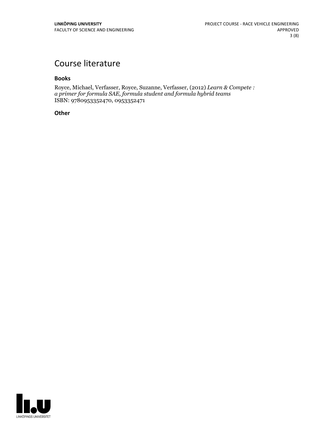# Course literature

#### **Books**

Royce, Michael, Verfasser, Royce, Suzanne, Verfasser, (2012) *Learn & Compete : a primer for formula SAE, formula student and formula hybrid teams* ISBN: 9780953352470, 0953352471

### **Other**

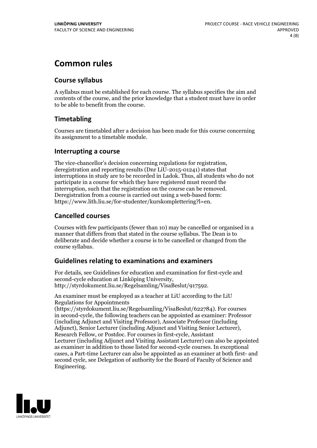# **Common rules**

### **Course syllabus**

A syllabus must be established for each course. The syllabus specifies the aim and contents of the course, and the prior knowledge that a student must have in order to be able to benefit from the course.

### **Timetabling**

Courses are timetabled after a decision has been made for this course concerning its assignment to a timetable module.

### **Interrupting a course**

The vice-chancellor's decision concerning regulations for registration, deregistration and reporting results (Dnr LiU-2015-01241) states that interruptions in study are to be recorded in Ladok. Thus, all students who do not participate in a course for which they have registered must record the interruption, such that the registration on the course can be removed. Deregistration from <sup>a</sup> course is carried outusing <sup>a</sup> web-based form: https://www.lith.liu.se/for-studenter/kurskomplettering?l=en.

### **Cancelled courses**

Courses with few participants (fewer than 10) may be cancelled or organised in a manner that differs from that stated in the course syllabus. The Dean is to deliberate and decide whether a course is to be cancelled or changed from the course syllabus.

### **Guidelines relatingto examinations and examiners**

For details, see Guidelines for education and examination for first-cycle and second-cycle education at Linköping University, http://styrdokument.liu.se/Regelsamling/VisaBeslut/917592.

An examiner must be employed as a teacher at LiU according to the LiU Regulations for Appointments

(https://styrdokument.liu.se/Regelsamling/VisaBeslut/622784). For courses in second-cycle, the following teachers can be appointed as examiner: Professor (including Adjunct and Visiting Professor), Associate Professor (including Adjunct), Senior Lecturer (including Adjunct and Visiting Senior Lecturer), Research Fellow, or Postdoc. For courses in first-cycle, Assistant Lecturer (including Adjunct and Visiting Assistant Lecturer) can also be appointed as examiner in addition to those listed for second-cycle courses. In exceptional cases, a Part-time Lecturer can also be appointed as an examiner at both first- and second cycle, see Delegation of authority for the Board of Faculty of Science and Engineering.

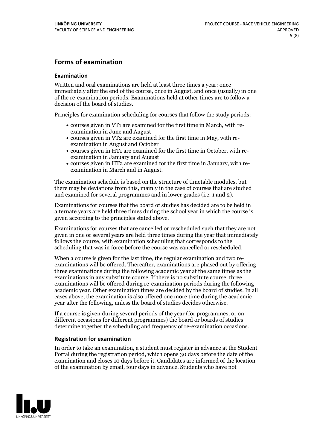### **Forms of examination**

#### **Examination**

Written and oral examinations are held at least three times a year: once immediately after the end of the course, once in August, and once (usually) in one of the re-examination periods. Examinations held at other times are to follow a decision of the board of studies.

Principles for examination scheduling for courses that follow the study periods:

- courses given in VT1 are examined for the first time in March, with re-examination in June and August
- courses given in VT2 are examined for the first time in May, with re-examination in August and October
- courses given in HT1 are examined for the first time in October, with re-examination in January and August
- courses given in HT2 are examined for the first time in January, with re-examination in March and in August.

The examination schedule is based on the structure of timetable modules, but there may be deviations from this, mainly in the case of courses that are studied and examined for several programmes and in lower grades (i.e. 1 and 2).

Examinations for courses that the board of studies has decided are to be held in alternate years are held three times during the school year in which the course is given according to the principles stated above.

Examinations for courses that are cancelled orrescheduled such that they are not given in one or several years are held three times during the year that immediately follows the course, with examination scheduling that corresponds to the scheduling that was in force before the course was cancelled or rescheduled.

When a course is given for the last time, the regular examination and two re-<br>examinations will be offered. Thereafter, examinations are phased out by offering three examinations during the following academic year at the same times as the examinations in any substitute course. If there is no substitute course, three examinations will be offered during re-examination periods during the following academic year. Other examination times are decided by the board of studies. In all cases above, the examination is also offered one more time during the academic year after the following, unless the board of studies decides otherwise.

If a course is given during several periods of the year (for programmes, or on different occasions for different programmes) the board or boards of studies determine together the scheduling and frequency of re-examination occasions.

#### **Registration for examination**

In order to take an examination, a student must register in advance at the Student Portal during the registration period, which opens 30 days before the date of the examination and closes 10 days before it. Candidates are informed of the location of the examination by email, four days in advance. Students who have not

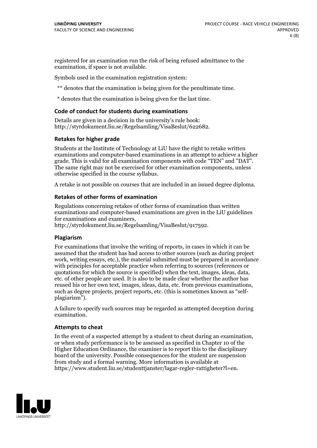registered for an examination run the risk of being refused admittance to the examination, if space is not available.

Symbols used in the examination registration system:

\*\* denotes that the examination is being given for the penultimate time.

\* denotes that the examination is being given for the last time.

#### **Code of conduct for students during examinations**

Details are given in a decision in the university's rule book: http://styrdokument.liu.se/Regelsamling/VisaBeslut/622682.

#### **Retakes for higher grade**

Students at the Institute of Technology at LiU have the right to retake written examinations and computer-based examinations in an attempt to achieve a higher grade. This is valid for all examination components with code "TEN" and "DAT". The same right may not be exercised for other examination components, unless otherwise specified in the course syllabus.

A retake is not possible on courses that are included in an issued degree diploma.

#### **Retakes of other forms of examination**

Regulations concerning retakes of other forms of examination than written examinations and computer-based examinations are given in the LiU guidelines

http://styrdokument.liu.se/Regelsamling/VisaBeslut/917592.

#### **Plagiarism**

For examinations that involve the writing of reports, in cases in which it can be assumed that the student has had access to other sources (such as during project work, writing essays, etc.), the material submitted must be prepared in accordance with principles for acceptable practice when referring to sources (references or quotations for which the source is specified) when the text, images, ideas, data,  $\vec{e}$  etc. of other people are used. It is also to be made clear whether the author has reused his or her own text, images, ideas, data, etc. from previous examinations, such as degree projects, project reports, etc. (this is sometimes known as "self- plagiarism").

A failure to specify such sources may be regarded as attempted deception during examination.

#### **Attempts to cheat**

In the event of <sup>a</sup> suspected attempt by <sup>a</sup> student to cheat during an examination, or when study performance is to be assessed as specified in Chapter <sup>10</sup> of the Higher Education Ordinance, the examiner is to report this to the disciplinary board of the university. Possible consequences for the student are suspension from study and a formal warning. More information is available at https://www.student.liu.se/studenttjanster/lagar-regler-rattigheter?l=en.

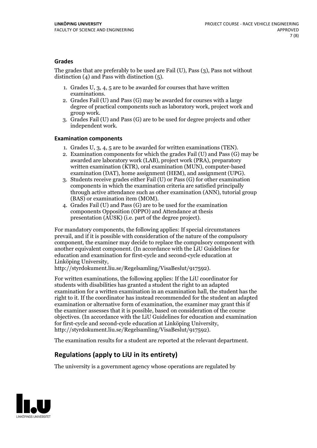### **Grades**

The grades that are preferably to be used are Fail (U), Pass (3), Pass not without distinction  $(4)$  and Pass with distinction  $(5)$ .

- 1. Grades U, 3, 4, 5 are to be awarded for courses that have written
- examinations. 2. Grades Fail (U) and Pass (G) may be awarded for courses with <sup>a</sup> large degree of practical components such as laboratory work, project work and group work. 3. Grades Fail (U) and Pass (G) are to be used for degree projects and other
- independent work.

### **Examination components**

- 
- 1. Grades U, 3, 4, <sup>5</sup> are to be awarded for written examinations (TEN). 2. Examination components for which the grades Fail (U) and Pass (G) may be awarded are laboratory work (LAB), project work (PRA), preparatory written examination (KTR), oral examination (MUN), computer-based
- examination (DAT), home assignment (HEM), and assignment (UPG). 3. Students receive grades either Fail (U) or Pass (G) for other examination components in which the examination criteria are satisfied principally through active attendance such as other examination (ANN), tutorial group
- (BAS) or examination item (MOM). 4. Grades Fail (U) and Pass (G) are to be used for the examination components Opposition (OPPO) and Attendance at thesis presentation (AUSK) (i.e. part of the degree project).

For mandatory components, the following applies: If special circumstances prevail, and if it is possible with consideration of the nature of the compulsory component, the examiner may decide to replace the compulsory component with another equivalent component. (In accordance with the LiU Guidelines for education and examination for first-cycle and second-cycle education at Linköping University, http://styrdokument.liu.se/Regelsamling/VisaBeslut/917592).

For written examinations, the following applies: If the LiU coordinator for students with disabilities has granted a student the right to an adapted examination for a written examination in an examination hall, the student has the right to it. If the coordinator has instead recommended for the student an adapted examination or alternative form of examination, the examiner may grant this if the examiner assesses that it is possible, based on consideration of the course objectives. (In accordance with the LiU Guidelines for education and examination for first-cycle and second-cycle education at Linköping University, http://styrdokument.liu.se/Regelsamling/VisaBeslut/917592).

The examination results for a student are reported at the relevant department.

### **Regulations (applyto LiU in its entirety)**

The university is a government agency whose operations are regulated by